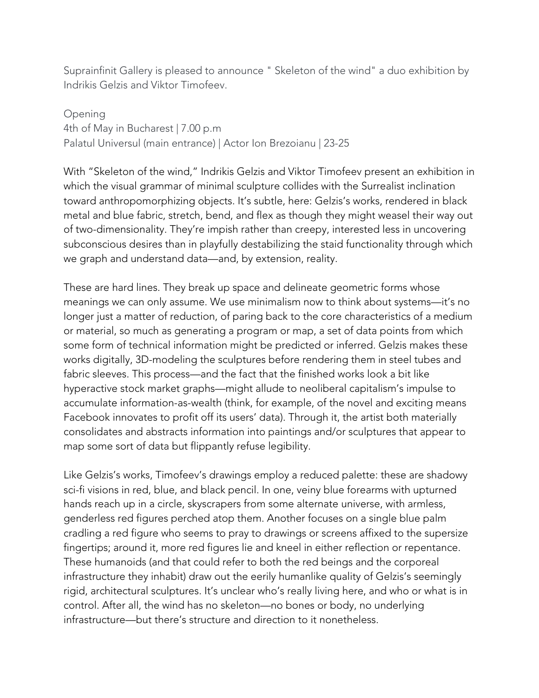Suprainfinit Gallery is pleased to announce " Skeleton of the wind" a duo exhibition by Indrikis Gelzis and Viktor Timofeev.

Opening 4th of May in Bucharest | 7.00 p.m Palatul Universul (main entrance) | Actor Ion Brezoianu | 23-25

With "Skeleton of the wind," Indrikis Gelzis and Viktor Timofeev present an exhibition in which the visual grammar of minimal sculpture collides with the Surrealist inclination toward anthropomorphizing objects. It's subtle, here: Gelzis's works, rendered in black metal and blue fabric, stretch, bend, and flex as though they might weasel their way out of two-dimensionality. They're impish rather than creepy, interested less in uncovering subconscious desires than in playfully destabilizing the staid functionality through which we graph and understand data—and, by extension, reality.

These are hard lines. They break up space and delineate geometric forms whose meanings we can only assume. We use minimalism now to think about systems—it's no longer just a matter of reduction, of paring back to the core characteristics of a medium or material, so much as generating a program or map, a set of data points from which some form of technical information might be predicted or inferred. Gelzis makes these works digitally, 3D-modeling the sculptures before rendering them in steel tubes and fabric sleeves. This process—and the fact that the finished works look a bit like hyperactive stock market graphs—might allude to neoliberal capitalism's impulse to accumulate information-as-wealth (think, for example, of the novel and exciting means Facebook innovates to profit off its users' data). Through it, the artist both materially consolidates and abstracts information into paintings and/or sculptures that appear to map some sort of data but flippantly refuse legibility.

Like Gelzis's works, Timofeev's drawings employ a reduced palette: these are shadowy sci-fi visions in red, blue, and black pencil. In one, veiny blue forearms with upturned hands reach up in a circle, skyscrapers from some alternate universe, with armless, genderless red figures perched atop them. Another focuses on a single blue palm cradling a red figure who seems to pray to drawings or screens affixed to the supersize fingertips; around it, more red figures lie and kneel in either reflection or repentance. These humanoids (and that could refer to both the red beings and the corporeal infrastructure they inhabit) draw out the eerily humanlike quality of Gelzis's seemingly rigid, architectural sculptures. It's unclear who's really living here, and who or what is in control. After all, the wind has no skeleton—no bones or body, no underlying infrastructure—but there's structure and direction to it nonetheless.